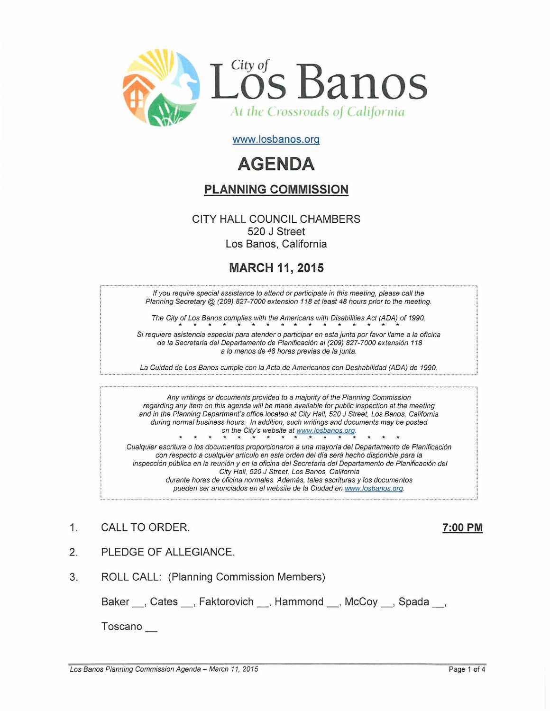

www.losbanos.org

# **AGENDA**

### **PLANNING COMMISSION**

### CITY HALL COUNCIL CHAMBERS 520 J Street Los Banos, California

## **MARCH** 11, **2015**

If you require special assistance to attend or participate in this meeting, please call the Planning Secretary @ (209) 827-7000 extension 118 at least 48 hours prior to the meeting.

The City of Los Banos complies with the Americans with Disabilities Act (ADA) of 1990. **\*\*\*\*\*\*\*\*\*\*\*\*\*\*\*\***

Si requiere asistencia especial para atender o participar en esta junta por favor llame a la oficina de la Secretaria del Departamento de Planificación al (209) 827-7000 extensión 118 a lo menos de 48 horas previas de la junta.

La Cuidad de Los Banos cumple con la Acta de Americanos con Deshabilidad (ADA) de 1990.

Any writings or documents provided to a majority of the Planning Commission regarding any item on this agenda wilt be made available for public inspection at the meeting and in the Planning Department's office located at City Hall, 520 J Street, Los Banos, California during normal business hours. In addition, such writings and documents may be posted on the City's website at www.losbanos.org.

Cualquier escritura 0 los documentos proporcionaron a una mayorfa del Departamento de Planificacion con respecto a cualquier artículo en este orden del día será hecho disponible para la inspección pública en la reunión y en la oficina del Secretaria del Departamento de Planificación del City Hall, 520 J Street, Los Banos, California durante horas de oficina normales. Además, tales escrituras y los documentos pueden ser anunciados en el website de la Ciudad en www.losbanos.org.

- 1. CALL TO ORDER. 7:00 **PM**
	-
- 2. PLEDGE OF ALLEGIANCE.
- 3. ROLL CALL: (Planning Commission Members)

Baker \_\_, Cates \_\_, Faktorovich \_\_, Hammond \_\_, McCoy \_\_, Spada \_\_,

Toscano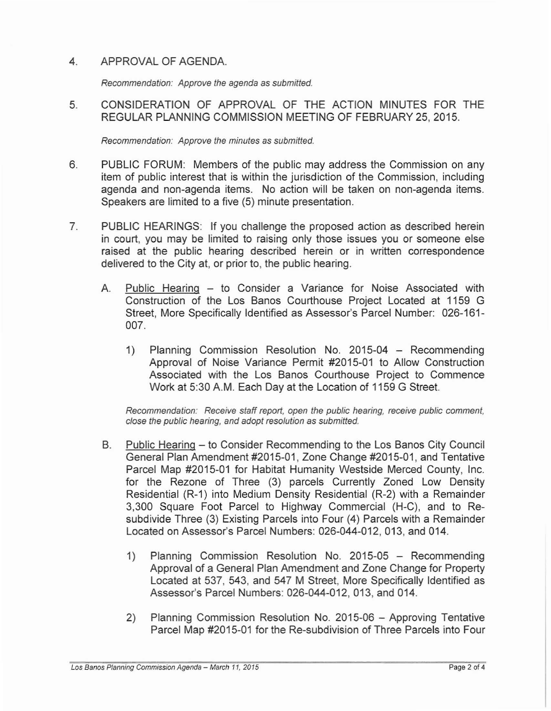### 4. APPROVAL OF AGENDA

Recommendation: Approve the agenda as submitted.

5. CONSIDERATION OF APPROVAL OF THE ACTION MINUTES FOR THE REGULAR PLANNING COMMISSION MEETING OF FEBRUARY 25,2015.

Recommendation: Approve the minutes as submitted.

- 6. PUBLIC FORUM: Members of the public may address the Commission on any item of public interest that is within the jurisdiction of the Commission, including agenda and non-agenda items. No action will be taken on non-agenda items. Speakers are limited to a five (5) minute presentation.
- 7. PUBLIC HEARINGS: If you challenge the proposed action as described herein in court, you may be limited to raising only those issues you or someone else raised at the public hearing described herein or in written correspondence delivered to the City at, or prior to, the public hearing.
	- A. Public Hearing to Consider a Variance for Noise Associated with Construction of the Los Banos Courthouse Project Located at 1159 G Street, More Specifically Identified as Assessor's Parcel Number: 026-161- 007.
		- 1) Planning Commission Resolution No. 2015-04 Recommending Approval of Noise Variance Permit #2015-01 to Allow Construction Associated with the Los Banos Courthouse Project to Commence Work at 5:30 AM. Each Day at the Location of 1159 G Street.

Recommendation: Receive staff report, open the public hearing, receive public comment, close the public hearing, and adopt resolution as submitted.

- B. Public Hearing to Consider Recommending to the Los Banos City Council General Plan Amendment #2015-01, Zone Change #2015-01, and Tentative Parcel Map #2015-01 for Habitat Humanity Westside Merced County, Inc. for the Rezone of Three (3) parcels Currently Zoned Low Density Residential (R-1) into Medium Density Residential (R-2) with a Remainder 3,300 Square Foot Parcel to Highway Commercial (H-C), and to Resubdivide Three (3) Existing Parcels into Four (4) Parcels with a Remainder Located on Assessor's Parcel Numbers: 026-044-012, 013, and 014.
	- 1) Planning Commission ReSOlution No. 2015-05 Recommending Approval of a General Plan Amendment and Zone Change for Property Located at 537, 543, and 547 M Street, More Specifically Identified as Assessor's Parcel Numbers: 026-044-012, 013, and 014.
	- 2) Planning Commission Resolution No. 2015-06 Approving Tentative Parcel Map #2015-01 for the Re-subdivision of Three Parcels into Four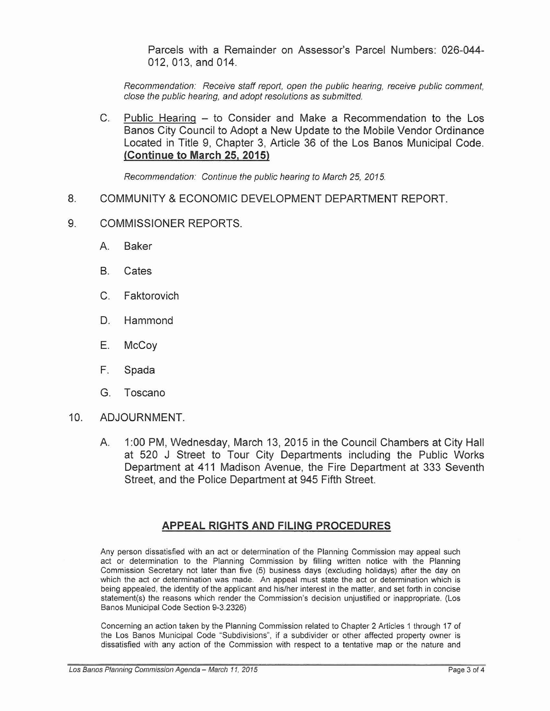Parcels with a Remainder on Assessor's Parcel Numbers: 026-044- 012,013, and 014.

Recommendation: Receive staff report, open the public hearing, receive public comment, close the pubfic hearing, and adopt resolutions as submitted.

C. Public Hearing – to Consider and Make a Recommendation to the Los Banos City Council to Adopt a New Update to the Mobile Vendor Ordinance Located in Title 9, Chapter 3, Article 36 of the Los Banos Municipal Code. **(Continue to March** 25, **2015)**

Recommendation: Continue the public hearing to March 25, 2015.

- 8. COMMUNITY &ECONOMIC DEVELOPMENT DEPARTMENT REPORT.
- 9. COMMISSIONER REPORTS.
	- A. Baker
	- B. Cates
	- C. Faktorovich
	- D. Hammond
	- E. McCoy
	- F. Spada
	- G. Toscano
- 10. ADJOURNMENT.
	- A. 1:00 PM, Wednesday, March 13, 2015 in the Council Chambers at City Hall at 520 J Street to Tour City Departments including the Public Works Department at 411 Madison Avenue, the Fire Department at 333 Seventh Street, and the Police Department at 945 Fifth Street.

#### **APPEAL RIGHTS AND FILING PROCEDURES**

**Any person dissatisfied with an act or determination of the Planning Commission may appeal such act or determination to the Planning Commission by filling written notice with the Planning** Commission Secretary not later than five (5) business days (excluding holidays) after the day on **which the act or determination was made. An appeal must state the act or determination which is** being appealed, the identity of the applicant and his/her interest in the matter, and set forth in concise statement(s) the reasons which render the Commission's decision unjustified or inappropriate. (Los Banos Municipal Code Section 9-3.2326)

Concerning an action taken by the Planning Commission related to Chapter 2 Articles 1 through 17 of **the Los Banos Municipal Code "Subdivisions", if a subdivider or other affected property owner is dissatisfied with any action of the Commission with respect to a tentative map or the nature and**